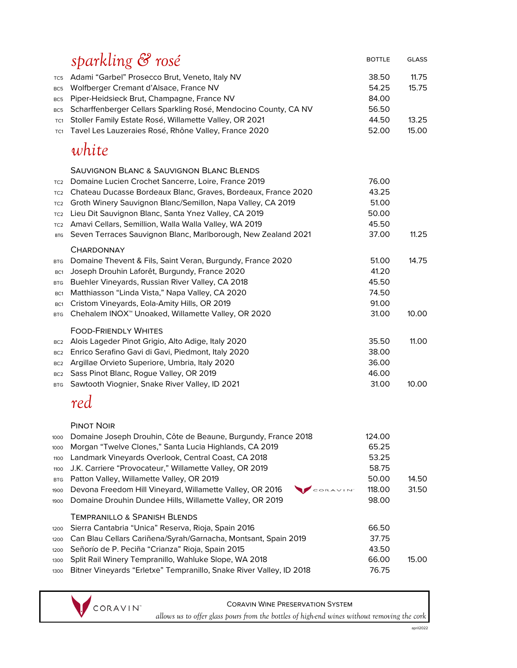|                                                                                                           | sparkling & rosé                                                                                                                                                                                                                                                                                                                                                                                                                                | <b>BOTTLE</b>                                                 | <b>GLASS</b>   |
|-----------------------------------------------------------------------------------------------------------|-------------------------------------------------------------------------------------------------------------------------------------------------------------------------------------------------------------------------------------------------------------------------------------------------------------------------------------------------------------------------------------------------------------------------------------------------|---------------------------------------------------------------|----------------|
| TC5<br>BC <sub>5</sub><br>BC <sub>5</sub><br>BC <sub>5</sub>                                              | Adami "Garbel" Prosecco Brut, Veneto, Italy NV<br>Wolfberger Cremant d'Alsace, France NV<br>Piper-Heidsieck Brut, Champagne, France NV<br>Scharffenberger Cellars Sparkling Rosé, Mendocino County, CA NV                                                                                                                                                                                                                                       | 38.50<br>54.25<br>84.00<br>56.50                              | 11.75<br>15.75 |
| TC1<br>TC1                                                                                                | Stoller Family Estate Rosé, Willamette Valley, OR 2021<br>Tavel Les Lauzeraies Rosé, Rhône Valley, France 2020                                                                                                                                                                                                                                                                                                                                  | 44.50<br>52.00                                                | 13.25<br>15.00 |
|                                                                                                           | white                                                                                                                                                                                                                                                                                                                                                                                                                                           |                                                               |                |
| TC <sub>2</sub><br>TC <sub>2</sub><br>TC <sub>2</sub><br>TC <sub>2</sub><br>TC <sub>2</sub><br><b>BTG</b> | <b>SAUVIGNON BLANC &amp; SAUVIGNON BLANC BLENDS</b><br>Domaine Lucien Crochet Sancerre, Loire, France 2019<br>Chateau Ducasse Bordeaux Blanc, Graves, Bordeaux, France 2020<br>Groth Winery Sauvignon Blanc/Semillon, Napa Valley, CA 2019<br>Lieu Dit Sauvignon Blanc, Santa Ynez Valley, CA 2019<br>Amavi Cellars, Semillion, Walla Walla Valley, WA 2019<br>Seven Terraces Sauvignon Blanc, Marlborough, New Zealand 2021                    | 76.00<br>43.25<br>51.00<br>50.00<br>45.50<br>37.00            | 11.25          |
| <b>BTG</b><br>BC1<br><b>BTG</b><br>BC <sub>1</sub><br>BC <sub>1</sub><br><b>BTG</b>                       | <b>CHARDONNAY</b><br>Domaine Thevent & Fils, Saint Veran, Burgundy, France 2020<br>Joseph Drouhin Laforêt, Burgundy, France 2020<br>Buehler Vineyards, Russian River Valley, CA 2018<br>Matthiasson "Linda Vista," Napa Valley, CA 2020<br>Cristom Vineyards, Eola-Amity Hills, OR 2019<br>Chehalem INOX <sup>™</sup> Unoaked, Willamette Valley, OR 2020                                                                                       | 51.00<br>41.20<br>45.50<br>74.50<br>91.00<br>31.00            | 14.75<br>10.00 |
| BC <sub>2</sub><br>BC <sub>2</sub><br>BC <sub>2</sub><br>BC <sub>2</sub><br><b>BTG</b>                    | <b>FOOD-FRIENDLY WHITES</b><br>Alois Lageder Pinot Grigio, Alto Adige, Italy 2020<br>Enrico Serafino Gavi di Gavi, Piedmont, Italy 2020<br>Argillae Orvieto Superiore, Umbria, Italy 2020<br>Sass Pinot Blanc, Rogue Valley, OR 2019<br>Sawtooth Viognier, Snake River Valley, ID 2021                                                                                                                                                          | 35.50<br>38.00<br>36.00<br>46.00<br>31.00                     | 11.00<br>10.00 |
|                                                                                                           | red                                                                                                                                                                                                                                                                                                                                                                                                                                             |                                                               |                |
| 1000<br>1000<br>1100<br>1100<br><b>BTG</b><br>1900<br>1900                                                | <b>PINOT NOIR</b><br>Domaine Joseph Drouhin, Côte de Beaune, Burgundy, France 2018<br>Morgan "Twelve Clones," Santa Lucia Highlands, CA 2019<br>Landmark Vineyards Overlook, Central Coast, CA 2018<br>J.K. Carriere "Provocateur," Willamette Valley, OR 2019<br>Patton Valley, Willamette Valley, OR 2019<br>CORAVINT<br>Devona Freedom Hill Vineyard, Willamette Valley, OR 2016<br>Domaine Drouhin Dundee Hills, Willamette Valley, OR 2019 | 124.00<br>65.25<br>53.25<br>58.75<br>50.00<br>118.00<br>98.00 | 14.50<br>31.50 |
| 1200<br>1200<br>1200<br>1300<br>1300                                                                      | <b>TEMPRANILLO &amp; SPANISH BLENDS</b><br>Sierra Cantabria "Unica" Reserva, Rioja, Spain 2016<br>Can Blau Cellars Cariñena/Syrah/Garnacha, Montsant, Spain 2019<br>Señorío de P. Peciña "Crianza" Rioja, Spain 2015<br>Split Rail Winery Tempranillo, Wahluke Slope, WA 2018<br>Bitner Vineyards "Erletxe" Tempranillo, Snake River Valley, ID 2018                                                                                            | 66.50<br>37.75<br>43.50<br>66.00<br>76.75                     | 15.00          |
|                                                                                                           |                                                                                                                                                                                                                                                                                                                                                                                                                                                 |                                                               |                |

Coravin Wine Preservation System

**CORAVIN<sup>\*</sup>** allows us to offer glass pours from the bottles of high-end wines without removing the cork